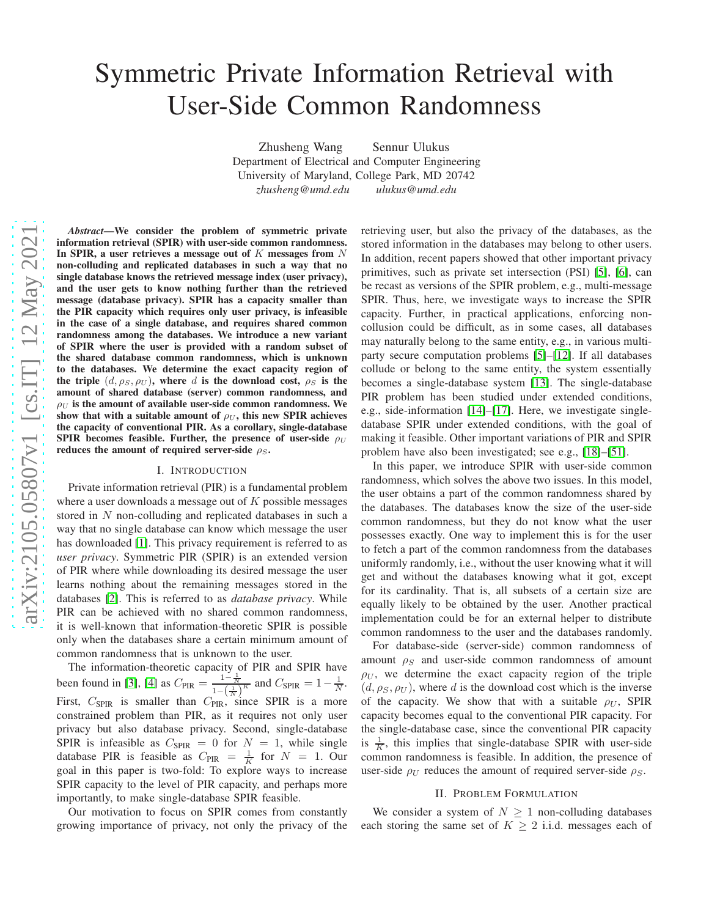# Symmetric Private Information Retrieval with User-Side Common Randomness

Zhusheng Wang Sennur Ulukus Department of Electrical and Computer Engineering University of Maryland, College Park, MD 20742 *zhusheng@umd.edu ulukus@umd.edu*

*Abstract*—We consider the problem of symmetric private information retrieval (SPIR) with user-side common randomness. In SPIR, a user retrieves a message out of  $K$  messages from  $N$ non-colluding and replicated databases in such a way that no single database knows the retrieved message index (user privacy), and the user gets to know nothing further than the retrieved message (database privacy). SPIR has a capacity smaller than the PIR capacity which requires only user privacy, is infeasible in the case of a single database, and requires shared common randomness among the databases. We introduce a new variant of SPIR where the user is provided with a random subset of the shared database common randomness, which is unknown to the databases. We determine the exact capacity region of the triple  $(d, \rho_S, \rho_U)$ , where d is the download cost,  $\rho_S$  is the amount of shared database (server) common randomness, and  $\rho_U$  is the amount of available user-side common randomness. We show that with a suitable amount of  $\rho_U$ , this new SPIR achieves the capacity of conventional PIR. As a corollary, single-database SPIR becomes feasible. Further, the presence of user-side  $\rho_U$ reduces the amount of required server-side  $\rho_S$ .

#### I. INTRODUCTION

Private information retrieval (PIR) is a fundamental problem where a user downloads a message out of  $K$  possible messages stored in N non-colluding and replicated databases in such a way that no single database can know which message the user has downloaded [\[1\]](#page-5-0). This privacy requirement is referred to as *user privacy*. Symmetric PIR (SPIR) is an extended version of PIR where while downloading its desired message the user learns nothing about the remaining messages stored in the databases [\[2\]](#page-5-1). This is referred to as *database privacy*. While PIR can be achieved with no shared common randomness, it is well-known that information-theoretic SPIR is possible only when the databases share a certain minimum amount of common randomness that is unknown to the user.

The information-theoretic capacity of PIR and SPIR have been found in [\[3\]](#page-5-2), [\[4\]](#page-5-3) as  $C_{\text{PIR}} = \frac{1 - \frac{1}{N}}{1 - (\frac{1}{N})^K}$  and  $C_{\text{SPIR}} = 1 - \frac{1}{N}$ . First,  $C_{\text{SPIR}}$  is smaller than  $C_{\text{PIR}}$ , since SPIR is a more constrained problem than PIR, as it requires not only user privacy but also database privacy. Second, single-database SPIR is infeasible as  $C_{\text{SPIR}} = 0$  for  $N = 1$ , while single database PIR is feasible as  $C_{\text{PIR}} = \frac{1}{K}$  for  $N = 1$ . Our goal in this paper is two-fold: To explore ways to increase SPIR capacity to the level of PIR capacity, and perhaps more importantly, to make single-database SPIR feasible.

Our motivation to focus on SPIR comes from constantly growing importance of privacy, not only the privacy of the retrieving user, but also the privacy of the databases, as the stored information in the databases may belong to other users. In addition, recent papers showed that other important privacy primitives, such as private set intersection (PSI) [\[5\]](#page-5-4), [\[6\]](#page-5-5), can be recast as versions of the SPIR problem, e.g., multi-message SPIR. Thus, here, we investigate ways to increase the SPIR capacity. Further, in practical applications, enforcing noncollusion could be difficult, as in some cases, all databases may naturally belong to the same entity, e.g., in various multiparty secure computation problems [\[5\]](#page-5-4)–[\[12\]](#page-5-6). If all databases collude or belong to the same entity, the system essentially becomes a single-database system [\[13\]](#page-5-7). The single-database PIR problem has been studied under extended conditions, e.g., side-information [\[14\]](#page-5-8)–[\[17\]](#page-5-9). Here, we investigate singledatabase SPIR under extended conditions, with the goal of making it feasible. Other important variations of PIR and SPIR problem have also been investigated; see e.g., [\[18\]](#page-5-10)–[\[51\]](#page-5-11).

In this paper, we introduce SPIR with user-side common randomness, which solves the above two issues. In this model, the user obtains a part of the common randomness shared by the databases. The databases know the size of the user-side common randomness, but they do not know what the user possesses exactly. One way to implement this is for the user to fetch a part of the common randomness from the databases uniformly randomly, i.e., without the user knowing what it will get and without the databases knowing what it got, except for its cardinality. That is, all subsets of a certain size are equally likely to be obtained by the user. Another practical implementation could be for an external helper to distribute common randomness to the user and the databases randomly.

For database-side (server-side) common randomness of amount  $\rho_S$  and user-side common randomness of amount  $\rho_U$ , we determine the exact capacity region of the triple  $(d, \rho_S, \rho_U)$ , where d is the download cost which is the inverse of the capacity. We show that with a suitable  $\rho_U$ , SPIR capacity becomes equal to the conventional PIR capacity. For the single-database case, since the conventional PIR capacity is  $\frac{1}{K}$ , this implies that single-database SPIR with user-side common randomness is feasible. In addition, the presence of user-side  $\rho_U$  reduces the amount of required server-side  $\rho_S$ .

#### II. PROBLEM FORMULATION

We consider a system of  $N \geq 1$  non-colluding databases each storing the same set of  $K \geq 2$  i.i.d. messages each of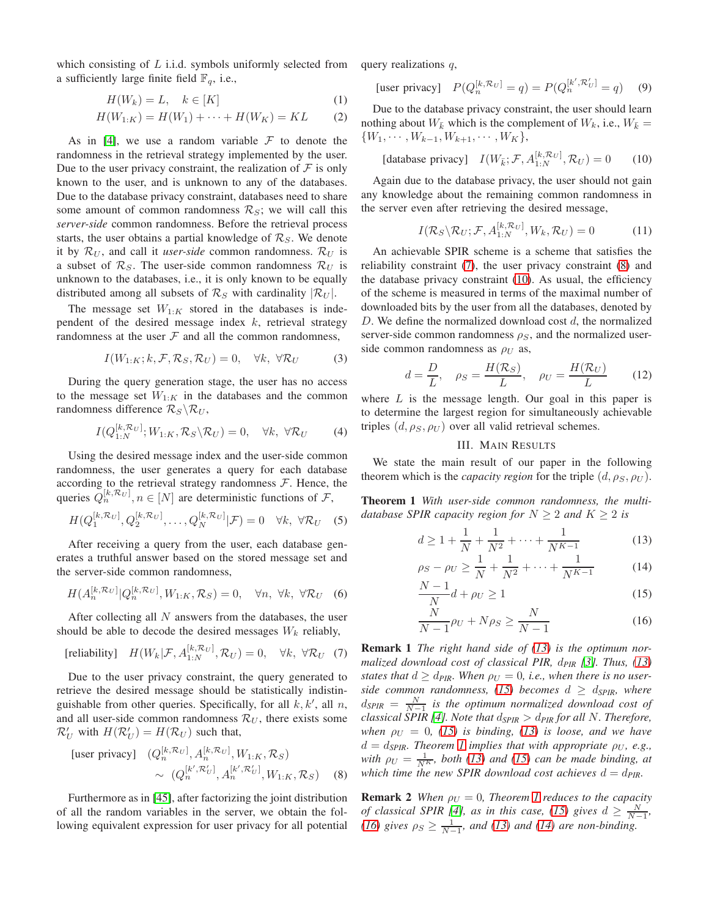which consisting of  $L$  i.i.d. symbols uniformly selected from a sufficiently large finite field  $\mathbb{F}_q$ , i.e.,

$$
H(W_k) = L, \quad k \in [K]
$$
 (1)

$$
H(W_{1:K}) = H(W_1) + \dots + H(W_K) = KL \tag{2}
$$

As in [\[4\]](#page-5-3), we use a random variable  $\mathcal F$  to denote the randomness in the retrieval strategy implemented by the user. Due to the user privacy constraint, the realization of  $\mathcal F$  is only known to the user, and is unknown to any of the databases. Due to the database privacy constraint, databases need to share some amount of common randomness  $\mathcal{R}_S$ ; we will call this *server-side* common randomness. Before the retrieval process starts, the user obtains a partial knowledge of  $\mathcal{R}_S$ . We denote it by  $\mathcal{R}_U$ , and call it *user-side* common randomness.  $\mathcal{R}_U$  is a subset of  $\mathcal{R}_S$ . The user-side common randomness  $\mathcal{R}_U$  is unknown to the databases, i.e., it is only known to be equally distributed among all subsets of  $\mathcal{R}_S$  with cardinality  $|\mathcal{R}_U|$ .

The message set  $W_{1:K}$  stored in the databases is independent of the desired message index  $k$ , retrieval strategy randomness at the user  $F$  and all the common randomness,

$$
I(W_{1:K}; k, \mathcal{F}, \mathcal{R}_S, \mathcal{R}_U) = 0, \quad \forall k, \ \forall \mathcal{R}_U
$$
 (3)

During the query generation stage, the user has no access to the message set  $W_{1:K}$  in the databases and the common randomness difference  $\mathcal{R}_S \backslash \mathcal{R}_U$ ,

$$
I(Q_{1:N}^{[k,\mathcal{R}_U]};W_{1:K},\mathcal{R}_S\backslash\mathcal{R}_U)=0, \quad \forall k, \ \forall \mathcal{R}_U
$$
 (4)

Using the desired message index and the user-side common randomness, the user generates a query for each database according to the retrieval strategy randomness  $F$ . Hence, the queries  $Q_n^{[k,\mathcal{R}_U]}$ ,  $n \in [N]$  are deterministic functions of  $\mathcal{F}$ ,

$$
H(Q_1^{[k,\mathcal{R}_U]}, Q_2^{[k,\mathcal{R}_U]}, \dots, Q_N^{[k,\mathcal{R}_U]} | \mathcal{F}) = 0 \quad \forall k, \ \forall \mathcal{R}_U \quad (5)
$$

After receiving a query from the user, each database generates a truthful answer based on the stored message set and the server-side common randomness,

$$
H(A_n^{[k,\mathcal{R}_U]}|Q_n^{[k,\mathcal{R}_U]}, W_{1:K}, \mathcal{R}_S) = 0, \quad \forall n, \ \forall k, \ \forall \mathcal{R}_U \quad (6)
$$

After collecting all  $N$  answers from the databases, the user should be able to decode the desired messages  $W_k$  reliably,

[reliability] 
$$
H(W_k|\mathcal{F}, A_{1:N}^{[k,\mathcal{R}_U]}, \mathcal{R}_U) = 0, \quad \forall k, \forall \mathcal{R}_U
$$
 (7)

Due to the user privacy constraint, the query generated to retrieve the desired message should be statistically indistinguishable from other queries. Specifically, for all  $k, k'$ , all  $n$ , and all user-side common randomness  $\mathcal{R}_U$ , there exists some  $\mathcal{R}'_U$  with  $H(\mathcal{R}'_U) = H(\mathcal{R}_U)$  such that,

[user privacy] 
$$
(Q_n^{[k,\mathcal{R}_U]}, A_n^{[k,\mathcal{R}_U]}, W_{1:K}, \mathcal{R}_S)
$$
  
 $\sim (Q_n^{[k',\mathcal{R}'_U]}, A_n^{[k',\mathcal{R}'_U]}, W_{1:K}, \mathcal{R}_S)$  (8)

Furthermore as in [\[45\]](#page-5-12), after factorizing the joint distribution of all the random variables in the server, we obtain the following equivalent expression for user privacy for all potential query realizations  $q$ ,

[user privacy] 
$$
P(Q_n^{[k,\mathcal{R}_U]} = q) = P(Q_n^{[k',\mathcal{R}'_U]} = q)
$$
 (9)

<span id="page-1-10"></span>Due to the database privacy constraint, the user should learn nothing about  $W_{\bar{k}}$  which is the complement of  $W_k$ , i.e.,  $W_{\bar{k}} =$  $\{W_1, \cdots, W_{k-1}, W_{k+1}, \cdots, W_K\},\$ 

$$
[database \text{ privacy}] \quad I(W_{\bar{k}}; \mathcal{F}, A_{1:N}^{[k,\mathcal{R}_U]}, \mathcal{R}_U) = 0 \quad (10)
$$

Again due to the database privacy, the user should not gain any knowledge about the remaining common randomness in the server even after retrieving the desired message,

<span id="page-1-8"></span><span id="page-1-2"></span>
$$
I(\mathcal{R}_S \backslash \mathcal{R}_U; \mathcal{F}, A_{1:N}^{[k,\mathcal{R}_U]}, W_k, \mathcal{R}_U) = 0 \tag{11}
$$

An achievable SPIR scheme is a scheme that satisfies the reliability constraint [\(7\)](#page-1-0), the user privacy constraint [\(8\)](#page-1-1) and the database privacy constraint [\(10\)](#page-1-2). As usual, the efficiency of the scheme is measured in terms of the maximal number of downloaded bits by the user from all the databases, denoted by  $D$ . We define the normalized download cost  $d$ , the normalized server-side common randomness  $\rho_S$ , and the normalized userside common randomness as  $\rho_U$  as,

$$
d = \frac{D}{L}, \quad \rho_S = \frac{H(\mathcal{R}_S)}{L}, \quad \rho_U = \frac{H(\mathcal{R}_U)}{L} \tag{12}
$$

<span id="page-1-11"></span>where  $L$  is the message length. Our goal in this paper is to determine the largest region for simultaneously achievable triples  $(d, \rho_S, \rho_U)$  over all valid retrieval schemes.

#### <span id="page-1-7"></span><span id="page-1-3"></span>III. MAIN RESULTS

<span id="page-1-5"></span>We state the main result of our paper in the following theorem which is the *capacity region* for the triple  $(d, \rho_S, \rho_U)$ .

<span id="page-1-9"></span>Theorem 1 *With user-side common randomness, the multidatabase SPIR capacity region for*  $N \geq 2$  *and*  $K \geq 2$  *is* 

$$
d \ge 1 + \frac{1}{N} + \frac{1}{N^2} + \dots + \frac{1}{N^{K-1}}
$$
 (13)

$$
\rho_S - \rho_U \ge \frac{1}{N} + \frac{1}{N^2} + \dots + \frac{1}{N^{K-1}} \tag{14}
$$

<span id="page-1-4"></span>
$$
\frac{N-1}{N}d + \rho_U \ge 1\tag{15}
$$

<span id="page-1-6"></span>
$$
\frac{N}{N-1}\rho_U + N\rho_S \ge \frac{N}{N-1} \tag{16}
$$

<span id="page-1-12"></span><span id="page-1-0"></span>Remark 1 *The right hand side of [\(13\)](#page-1-3) is the optimum normalized download cost of classical PIR,* d*PIR [\[3\]](#page-5-2). Thus, [\(13\)](#page-1-3) states that*  $d \geq d_{PIR}$ *. When*  $\rho_U = 0$ *, i.e., when there is no userside common randomness,* [\(15\)](#page-1-4) *becomes*  $d \geq d_{SPIR}$ *, where*  $d_{SPIR} = \frac{N}{N-1}$  is the optimum normalized download cost of *classical SPIR [\[4\]](#page-5-3). Note that*  $d_{SPIR} > d_{PIR}$  *for all N. Therefore, when*  $\rho_U = 0$ , [\(15\)](#page-1-4) *is binding*, [\(13\)](#page-1-3) *is loose, and we have*  $d = d_{\text{SPIR}}$ *. Theorem [1](#page-1-5) implies that with appropriate*  $\rho_U$ *, e.g., with*  $\rho_U = \frac{1}{N^K}$ , both [\(13\)](#page-1-3) and [\(15\)](#page-1-4) can be made binding, at *which time the new SPIR download cost achieves*  $d = d_{PIR}$ *.* 

<span id="page-1-1"></span>**Remark 2** *When*  $\rho_U = 0$ *, Theorem [1](#page-1-5) reduces to the capacity of classical SPIR [\[4\]](#page-5-3), as in this case,* [\(15\)](#page-1-4) gives  $d \geq \frac{N}{N-1}$ , *[\(16\)](#page-1-6)* gives  $\rho_S \ge \frac{1}{N-1}$ , and *[\(13\)](#page-1-3)* and *(14)* are non-binding.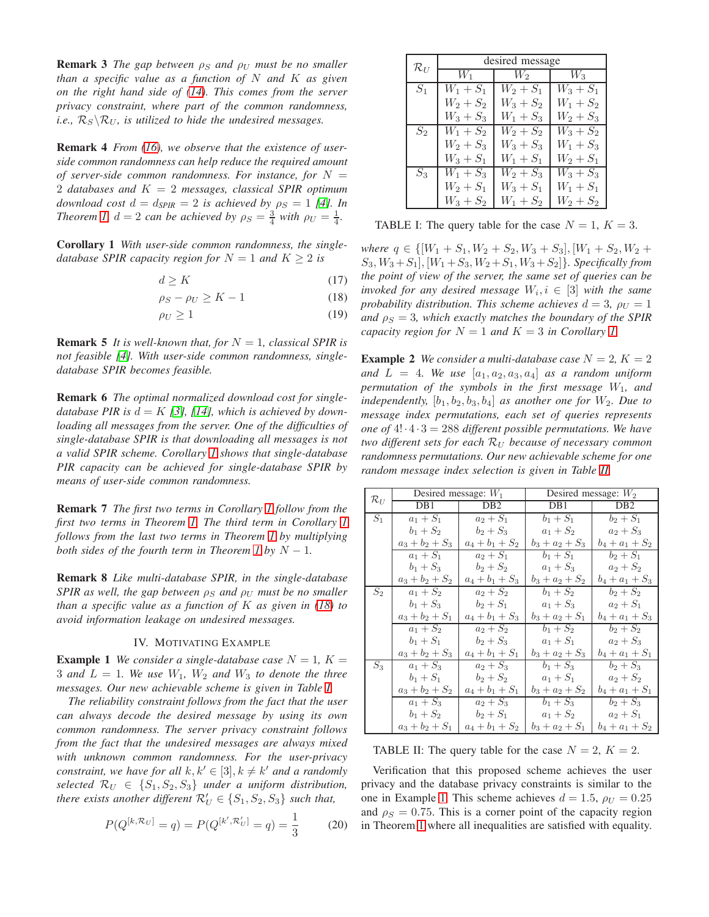**Remark 3** *The gap between*  $\rho_S$  *and*  $\rho_U$  *must be no smaller than a specific value as a function of* N *and* K *as given on the right hand side of [\(14\)](#page-1-7). This comes from the server privacy constraint, where part of the common randomness, i.e.,*  $\mathcal{R}_S \backslash \mathcal{R}_U$ *, is utilized to hide the undesired messages.* 

Remark 4 *From [\(16\)](#page-1-6), we observe that the existence of userside common randomness can help reduce the required amount of server-side common randomness. For instance, for*  $N =$ 2 *databases and* K = 2 *messages, classical SPIR optimum download cost*  $d = d_{SPIR} = 2$  *is achieved by*  $\rho_S = 1$  [\[4\]](#page-5-3)*. In Theorem [1,](#page-1-5)*  $d = 2$  *can be achieved by*  $\rho_S = \frac{3}{4}$  *with*  $\rho_U = \frac{1}{4}$ *.* 

<span id="page-2-0"></span>Corollary 1 *With user-side common randomness, the singledatabase SPIR capacity region for*  $N = 1$  *and*  $K \geq 2$  *is* 

$$
d \ge K \tag{17}
$$

$$
\rho_S - \rho_U \ge K - 1 \tag{18}
$$

$$
\rho_U \ge 1\tag{19}
$$

**Remark 5** *It is well-known that, for*  $N = 1$ *, classical SPIR is not feasible [\[4\]](#page-5-3). With user-side common randomness, singledatabase SPIR becomes feasible.*

Remark 6 *The optimal normalized download cost for singledatabase PIR is*  $d = K$  [\[3\]](#page-5-2), [\[14\]](#page-5-8), which is achieved by down*loading all messages from the server. One of the difficulties of single-database SPIR is that downloading all messages is not a valid SPIR scheme. Corollary [1](#page-2-0) shows that single-database PIR capacity can be achieved for single-database SPIR by means of user-side common randomness.*

Remark 7 *The first two terms in Corollary [1](#page-2-0) follow from the first two terms in Theorem [1.](#page-1-5) The third term in Corollary [1](#page-2-0) follows from the last two terms in Theorem [1](#page-1-5) by multiplying both sides of the fourth term in Theorem [1](#page-1-5) by*  $N - 1$ *.* 

Remark 8 *Like multi-database SPIR, in the single-database SPIR as well, the gap between*  $\rho_S$  *and*  $\rho_U$  *must be no smaller than a specific value as a function of* K *as given in [\(18\)](#page-2-1) to avoid information leakage on undesired messages.*

#### IV. MOTIVATING EXAMPLE

<span id="page-2-4"></span>**Example 1** We consider a single-database case  $N = 1$ ,  $K =$ 3 and  $L = 1$ *. We use*  $W_1$ *,*  $W_2$  and  $W_3$  to denote the three *messages. Our new achievable scheme is given in Table [I.](#page-2-2)*

*The reliability constraint follows from the fact that the user can always decode the desired message by using its own common randomness. The server privacy constraint follows from the fact that the undesired messages are always mixed with unknown common randomness. For the user-privacy constraint, we have for all*  $k, k' \in [3], k \neq k'$  *and a randomly selected*  $\mathcal{R}_U \in \{S_1, S_2, S_3\}$  *under a uniform distribution, there exists another different*  $\mathcal{R}'_U \in \{S_1, S_2, S_3\}$  *such that,* 

$$
P(Q^{[k,\mathcal{R}_U]} = q) = P(Q^{[k',\mathcal{R}'_U]} = q) = \frac{1}{3}
$$
 (20)

<span id="page-2-2"></span>

| $\mathcal{R}_U$ | desired message |             |             |  |
|-----------------|-----------------|-------------|-------------|--|
|                 | $W_1$           | $W_2$       | $W_3$       |  |
| $S_1$           | $W_1 + S_1$     | $W_2 + S_1$ | $W_3 + S_1$ |  |
|                 | $W_2 + S_2$     | $W_3 + S_2$ | $W_1 + S_2$ |  |
|                 | $W_3 + S_3$     | $W_1 + S_3$ | $W_2 + S_3$ |  |
| $S_2$           | $W_1 + S_2$     | $W_2 + S_2$ | $W_3 + S_2$ |  |
|                 | $W_2 + S_3$     | $W_3 + S_3$ | $W_1 + S_3$ |  |
|                 | $W_3 + S_1$     | $W_1 + S_1$ | $W_2 + S_1$ |  |
| $S_3$           | $W_1 + S_3$     | $W_2 + S_3$ | $W_3 + S_3$ |  |
|                 | $W_2 + S_1$     | $W_3 + S_1$ | $W_1 + S_1$ |  |
|                 | $W_3 + S_2$     | $W_1 + S_2$ | $W_2 + S_2$ |  |

TABLE I: The query table for the case  $N = 1$ ,  $K = 3$ .

<span id="page-2-1"></span>*where*  $q \in \{[W_1 + S_1, W_2 + S_2, W_3 + S_3], [W_1 + S_2, W_2 + S_4\}$  $S_3, W_3 + S_1$ ,  $[W_1 + S_3, W_2 + S_1, W_3 + S_2]$ *. Specifically from the point of view of the server, the same set of queries can be invoked for any desired message*  $W_i, i \in [3]$  *with the same probability distribution. This scheme achieves*  $d = 3$ ,  $\rho_U = 1$ *and*  $\rho_S = 3$ *, which exactly matches the boundary of the SPIR capacity region for*  $N = 1$  *and*  $K = 3$  *in Corollary [1.](#page-2-0)* 

<span id="page-2-5"></span>**Example 2** *We consider a multi-database case*  $N = 2$ ,  $K = 2$ and  $L = 4$ . We use  $[a_1, a_2, a_3, a_4]$  *as a random uniform permutation of the symbols in the first message*  $W_1$ *, and independently,*  $[b_1, b_2, b_3, b_4]$  *as another one for*  $W_2$ *. Due to message index permutations, each set of queries represents one of*  $4! \cdot 4 \cdot 3 = 288$  *different possible permutations. We have two different sets for each*  $R_U$  *because of necessary common randomness permutations. Our new achievable scheme for one random message index selection is given in Table [II.](#page-2-3)*

<span id="page-2-3"></span>

| $\mathcal{R}_U$ | Desired message: $W_1$ |                   | Desired message: $W_2$ |                   |
|-----------------|------------------------|-------------------|------------------------|-------------------|
|                 | DB1                    | DB <sub>2</sub>   | DB1                    | DB <sub>2</sub>   |
| $S_1$           | $a_1 + S_1$            | $a_2 + S_1$       | $b_1 + S_1$            | $b_2 + S_1$       |
|                 | $b_1 + S_2$            | $b_2 + S_3$       | $a_1 + S_2$            | $a_2 + S_3$       |
|                 | $a_3 + b_2 + S_3$      | $a_4 + b_1 + S_2$ | $b_3 + a_2 + S_3$      | $b_4 + a_1 + S_2$ |
|                 | $a_1 + S_1$            | $a_2 + S_1$       | $b_1 + S_1$            | $b_2 + S_1$       |
|                 | $b_1 + S_3$            | $b_2 + S_2$       | $a_1 + S_3$            | $a_2 + S_2$       |
|                 | $a_3 + b_2 + S_2$      | $a_4 + b_1 + S_3$ | $b_3 + a_2 + S_2$      | $b_4 + a_1 + S_3$ |
| $S_2$           | $a_1 + S_2$            | $a_2 + S_2$       | $b_1 + S_2$            | $b_2 + S_2$       |
|                 | $b_1 + S_3$            | $b_2 + S_1$       | $a_1 + S_3$            | $a_2 + S_1$       |
|                 | $a_3 + b_2 + S_1$      | $a_4 + b_1 + S_3$ | $b_3 + a_2 + S_1$      | $b_4 + a_1 + S_3$ |
|                 | $a_1 + S_2$            | $a_2 + S_2$       | $b_1 + S_2$            | $b_2 + S_2$       |
|                 | $b_1 + S_1$            | $b_2 + S_3$       | $a_1 + S_1$            | $a_2 + S_3$       |
|                 | $a_3 + b_2 + S_3$      | $a_4 + b_1 + S_1$ | $b_3 + a_2 + S_3$      | $b_4 + a_1 + S_1$ |
| $S_3$           | $a_1 + S_3$            | $a_2 + S_3$       | $b_1 + S_3$            | $b_2 + S_3$       |
|                 | $b_1 + S_1$            | $b_2 + S_2$       | $a_1 + S_1$            | $a_2+S_2$         |
|                 | $a_3 + b_2 + S_2$      | $a_4 + b_1 + S_1$ | $b_3 + a_2 + S_2$      | $b_4 + a_1 + S_1$ |
|                 | $a_1 + S_3$            | $a_2 + S_3$       | $b_1 + S_3$            | $b_2 + S_3$       |
|                 | $b_1 + S_2$            | $b_2 + S_1$       | $a_1 + S_2$            | $a_2 + S_1$       |
|                 | $a_3 + b_2 + S_1$      | $a_4 + b_1 + S_2$ | $b_3 + a_2 + S_1$      | $b_4 + a_1 + S_2$ |

TABLE II: The query table for the case  $N = 2$ ,  $K = 2$ .

Verification that this proposed scheme achieves the user privacy and the database privacy constraints is similar to the one in Example [1.](#page-2-4) This scheme achieves  $d = 1.5$ ,  $\rho_U = 0.25$ and  $\rho_S = 0.75$ . This is a corner point of the capacity region in Theorem [1](#page-1-5) where all inequalities are satisfied with equality.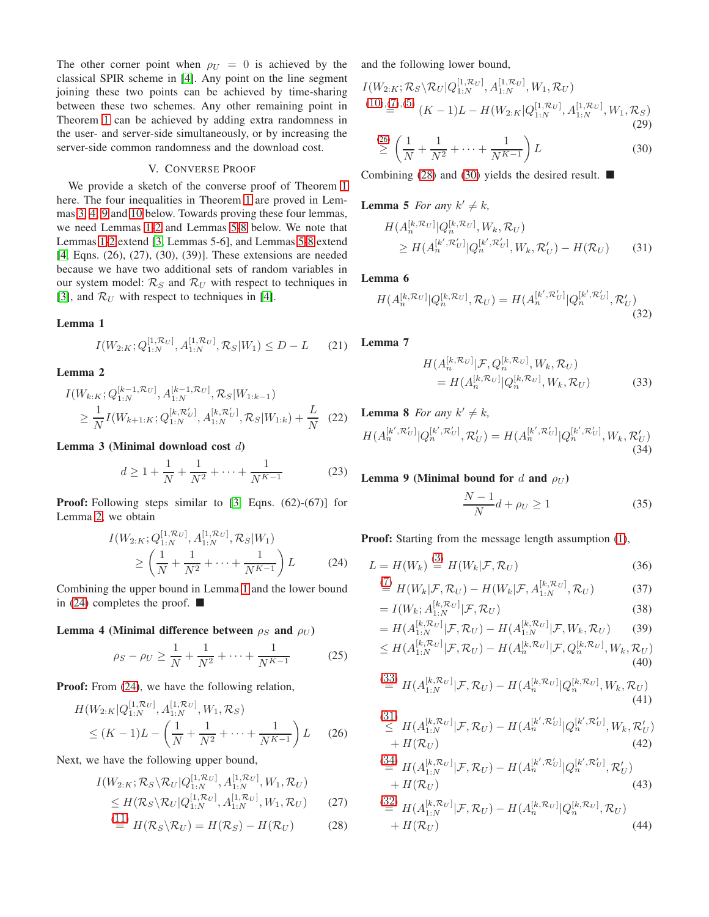The other corner point when  $\rho_U = 0$  is achieved by the classical SPIR scheme in [\[4\]](#page-5-3). Any point on the line segment joining these two points can be achieved by time-sharing between these two schemes. Any other remaining point in Theorem [1](#page-1-5) can be achieved by adding extra randomness in the user- and server-side simultaneously, or by increasing the server-side common randomness and the download cost.

#### V. CONVERSE PROOF

We provide a sketch of the converse proof of Theorem [1](#page-1-5) here. The four inequalities in Theorem [1](#page-1-5) are proved in Lemmas [3,](#page-3-0) [4,](#page-3-1) [9](#page-3-2) and [10](#page-4-0) below. Towards proving these four lemmas, we need Lemmas [1-](#page-3-3)[2](#page-3-4) and Lemmas [5-](#page-3-5)[8](#page-3-6) below. We note that Lemmas [1](#page-3-3)[-2](#page-3-4) extend [\[3,](#page-5-2) Lemmas 5-6], and Lemmas [5-](#page-3-5)[8](#page-3-6) extend [\[4,](#page-5-3) Eqns. (26), (27), (30), (39)]. These extensions are needed because we have two additional sets of random variables in our system model:  $\mathcal{R}_S$  and  $\mathcal{R}_U$  with respect to techniques in [\[3\]](#page-5-2), and  $\mathcal{R}_U$  with respect to techniques in [\[4\]](#page-5-3).

# <span id="page-3-3"></span>Lemma 1

$$
I(W_{2:K}; Q_{1:N}^{[1,\mathcal{R}_U]}, A_{1:N}^{[1,\mathcal{R}_U]}, \mathcal{R}_S | W_1) \le D - L \tag{21}
$$

#### <span id="page-3-4"></span>Lemma 2

$$
I(W_{k:K}; Q_{1:N}^{[k-1, \mathcal{R}_U]}, A_{1:N}^{[k-1, \mathcal{R}_U]}, \mathcal{R}_S | W_{1:k-1})
$$
  
\n
$$
\geq \frac{1}{N} I(W_{k+1:K}; Q_{1:N}^{[k, \mathcal{R}'_U]}, A_{1:N}^{[k, \mathcal{R}'_U]}, \mathcal{R}_S | W_{1:k}) + \frac{L}{N}
$$
 (22)

#### <span id="page-3-0"></span>Lemma 3 (Minimal download cost d)

$$
d \ge 1 + \frac{1}{N} + \frac{1}{N^2} + \dots + \frac{1}{N^{K-1}} \tag{23}
$$

**Proof:** Following steps similar to [\[3,](#page-5-2) Eqns. (62)-(67)] for Lemma [2,](#page-3-4) we obtain

$$
I(W_{2:K}; Q_{1:N}^{[1, \mathcal{R}_U]}, A_{1:N}^{[1, \mathcal{R}_U]}, \mathcal{R}_S | W_1)
$$
  
\n
$$
\geq \left(\frac{1}{N} + \frac{1}{N^2} + \dots + \frac{1}{N^{K-1}}\right) L
$$
 (24)

<span id="page-3-1"></span>Combining the upper bound in Lemma [1](#page-3-3) and the lower bound in [\(24\)](#page-3-7) completes the proof.  $\blacksquare$ 

### Lemma 4 (Minimal difference between  $\rho_S$  and  $\rho_U$ )

$$
\rho_S - \rho_U \ge \frac{1}{N} + \frac{1}{N^2} + \dots + \frac{1}{N^{K-1}} \tag{25}
$$

Proof: From  $(24)$ , we have the following relation,

$$
H(W_{2:K}|Q_{1:N}^{[1,\mathcal{R}_U]},A_{1:N}^{[1,\mathcal{R}_U]},W_1,\mathcal{R}_S)
$$
  
 
$$
\leq (K-1)L - \left(\frac{1}{N} + \frac{1}{N^2} + \dots + \frac{1}{N^{K-1}}\right)L \qquad (26)
$$

Next, we have the following upper bound,

$$
I(W_{2:K}; \mathcal{R}_{S} \backslash \mathcal{R}_{U} | Q_{1:N}^{[1,\mathcal{R}_{U}]}, A_{1:N}^{[1,\mathcal{R}_{U}]}, W_{1}, \mathcal{R}_{U})
$$
  
\n
$$
\leq H(\mathcal{R}_{S} \backslash \mathcal{R}_{U} | Q_{1:N}^{[1,\mathcal{R}_{U}]}, A_{1:N}^{[1,\mathcal{R}_{U}]}, W_{1}, \mathcal{R}_{U})
$$
(27)

$$
\stackrel{(11)}{=} H(\mathcal{R}_S \backslash \mathcal{R}_U) = H(\mathcal{R}_S) - H(\mathcal{R}_U) \tag{28}
$$

and the following lower bound,

$$
I(W_{2:K}; \mathcal{R}_{S} \backslash \mathcal{R}_{U} | Q_{1:N}^{[1,\mathcal{R}_{U}]}, A_{1:N}^{[1,\mathcal{R}_{U}]}, W_{1}, \mathcal{R}_{U})
$$
  
(10),(7),(5)  

$$
(K-1)L - H(W_{2:K} | Q_{1:N}^{[1,\mathcal{R}_{U}]}, A_{1:N}^{[1,\mathcal{R}_{U}]}, W_{1}, \mathcal{R}_{S})
$$
  
(29)

<span id="page-3-10"></span>
$$
\stackrel{(26)}{\geq} \left(\frac{1}{N} + \frac{1}{N^2} + \dots + \frac{1}{N^{K-1}}\right) L \tag{30}
$$

<span id="page-3-5"></span>Combining [\(28\)](#page-3-9) and [\(30\)](#page-3-10) yields the desired result.  $\blacksquare$ 

# **Lemma 5** *For any*  $k' \neq k$ *,*

$$
H(A_n^{[k,\mathcal{R}_U]}|Q_n^{[k,\mathcal{R}_U]}, W_k, \mathcal{R}_U)
$$
  
\n
$$
\geq H(A_n^{[k',\mathcal{R}_U']}|Q_n^{[k',\mathcal{R}_U']}, W_k, \mathcal{R}_U') - H(\mathcal{R}_U)
$$
 (31)

# Lemma 6

$$
H(A_n^{[k,\mathcal{R}_U]}|Q_n^{[k,\mathcal{R}_U]},\mathcal{R}_U) = H(A_n^{[k',\mathcal{R}'_U]}|Q_n^{[k',\mathcal{R}'_U]},\mathcal{R}'_U)
$$
\n(32)

Lemma 7

<span id="page-3-14"></span><span id="page-3-12"></span>
$$
H(A_n^{[k,\mathcal{R}_U]}|\mathcal{F}, Q_n^{[k,\mathcal{R}_U]}, W_k, \mathcal{R}_U)
$$
  
= 
$$
H(A_n^{[k,\mathcal{R}_U]}|Q_n^{[k,\mathcal{R}_U]}, W_k, \mathcal{R}_U)
$$
(33)

<span id="page-3-6"></span>**Lemma 8** For any 
$$
k' \neq k
$$
,  
\n
$$
H(A_n^{[k',\mathcal{R}'_U]} | Q_n^{[k',\mathcal{R}'_U]}, \mathcal{R}'_U) = H(A_n^{[k',\mathcal{R}'_U]} | Q_n^{[k',\mathcal{R}'_U]}, W_k, \mathcal{R}'_U)
$$
\n(34)

#### <span id="page-3-2"></span>Lemma 9 (Minimal bound for d and  $\rho_U$ )

<span id="page-3-15"></span> $\sqrt{2}$ 

<span id="page-3-13"></span><span id="page-3-11"></span>
$$
\frac{N-1}{N}d + \rho_U \ge 1\tag{35}
$$

<span id="page-3-7"></span>Proof: Starting from the message length assumption [\(1\)](#page-1-10),

$$
L = H(W_k) \stackrel{\text{(a)}}{=} H(W_k | \mathcal{F}, \mathcal{R}_U) \tag{36}
$$
\n
$$
\stackrel{\text{(7)}}{=} H(W_k | \mathcal{F}, \mathcal{R}_U) \qquad H(W_k | \mathcal{F}, A^{[k, \mathcal{R}_U]} | \mathcal{F}) \tag{37}
$$

$$
\stackrel{(I)}{=} H(W_k|\mathcal{F}, \mathcal{R}_U) - H(W_k|\mathcal{F}, A_{1:N}^{[k, \mathcal{R}_U]}, \mathcal{R}_U) \tag{37}
$$

$$
= I(W_k; A_{1:N}^{[\kappa, \kappa_U]} | \mathcal{F}, \mathcal{R}_U)
$$
\n
$$
H(A^{[\kappa, \kappa_U]} | \mathcal{F}, \mathcal{P}) = H(A^{[\kappa, \kappa_U]} | \mathcal{F}, W, \mathcal{P})
$$
\n(38)

$$
= H(A_{1:N}^{[\kappa,\kappa_U]}|\mathcal{F},\mathcal{R}_U) - H(A_{1:N}^{[\kappa,\kappa_U]}|\mathcal{F},W_k,\mathcal{R}_U) \tag{39}
$$
  

$$
\langle H(A_{1:N}^{[\kappa,\kappa_U]}|\mathcal{F},\mathcal{D}_V) - H(A_{1:N}^{[\kappa,\kappa_U]}|\mathcal{F},O[k,\mathcal{R}_U]|\mathcal{M},\mathcal{D}_V) \rangle
$$

$$
\leq H(A_{1:N}^{[k,\mathcal{R}_U]}|\mathcal{F},\mathcal{R}_U) - H(A_n^{[k,\mathcal{R}_U]}|\mathcal{F},Q_n^{[k,\mathcal{R}_U]},W_k,\mathcal{R}_U) \tag{40}
$$

$$
\stackrel{(33)}{=} H(A_{1:N}^{[k,\mathcal{R}_U]}|\mathcal{F},\mathcal{R}_U) - H(A_n^{[k,\mathcal{R}_U]}|Q_n^{[k,\mathcal{R}_U]},W_k,\mathcal{R}_U) \tag{41}
$$

<span id="page-3-8"></span>
$$
\leq H(A_{1:N}^{[k,\mathcal{R}_U]}|\mathcal{F},\mathcal{R}_U) - H(A_n^{[k',\mathcal{R}'_U]}|Q_n^{[k',\mathcal{R}'_U]},W_k,\mathcal{R}'_U) + H(\mathcal{R}_U)
$$
\n(42)

$$
\stackrel{(34)}{=} H(A_{1:N}^{[k,\mathcal{R}_U]}|\mathcal{F},\mathcal{R}_U) - H(A_n^{[k',\mathcal{R}'_U]}|Q_n^{[k',\mathcal{R}'_U]},\mathcal{R}'_U) + H(\mathcal{R}_U)
$$
\n(43)

<span id="page-3-16"></span><span id="page-3-9"></span>
$$
\stackrel{(32)}{=} H(A_{1:N}^{[k,\mathcal{R}_U]}|\mathcal{F},\mathcal{R}_U) - H(A_n^{[k,\mathcal{R}_U]}|Q_n^{[k,\mathcal{R}_U]},\mathcal{R}_U) + H(\mathcal{R}_U)
$$
\n(44)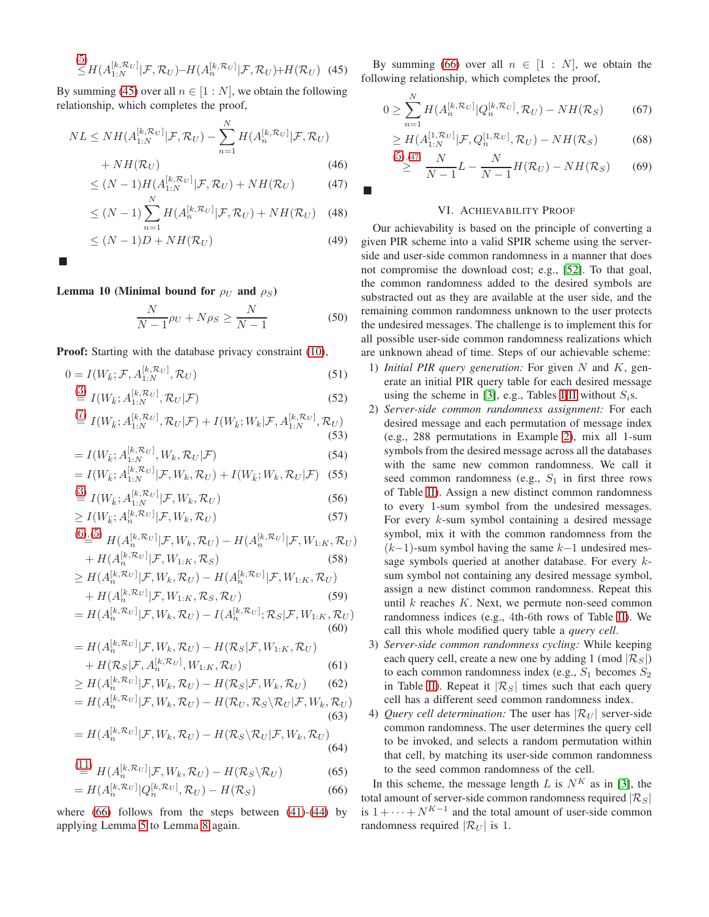$$
\leq H(A_{1:N}^{[k,\mathcal{R}_U]}|\mathcal{F},\mathcal{R}_U) - H(A_n^{[k,\mathcal{R}_U]}|\mathcal{F},\mathcal{R}_U) + H(\mathcal{R}_U) \tag{45}
$$

By summing [\(45\)](#page-4-1) over all  $n \in [1:N]$ , we obtain the following relationship, which completes the proof,

$$
NL \le NH(A_{1:N}^{[k,\mathcal{R}_U]}|\mathcal{F},\mathcal{R}_U) - \sum_{n=1}^N H(A_n^{[k,\mathcal{R}_U]}|\mathcal{F},\mathcal{R}_U) + NH(\mathcal{R}_U)
$$
\n(46)

$$
\leq (N-1)H(A_{1:N}^{[k,\mathcal{R}_U]}|\mathcal{F},\mathcal{R}_U) + NH(\mathcal{R}_U) \tag{47}
$$

$$
\leq (N-1)\sum_{n=1}^{N} H(A_n^{[k,\mathcal{R}_U]}|\mathcal{F},\mathcal{R}_U) + NH(\mathcal{R}_U) \quad (48)
$$

$$
\leq (N-1)D + NH(\mathcal{R}_U) \tag{49}
$$

<span id="page-4-0"></span>г

# Lemma 10 (Minimal bound for  $\rho_U$  and  $\rho_S$ )

$$
\frac{N}{N-1}\rho_U + N\rho_S \ge \frac{N}{N-1}
$$
\n(50)

**Proof:** Starting with the database privacy constraint [\(10\)](#page-1-2),

$$
0 = I(W_{\vec{k}}; \mathcal{F}, A_{1:N}^{[k, \mathcal{R}_U]}, \mathcal{R}_U)
$$
\n(51)\n  
\n(3) 
$$
I(W_{\vec{k}}, A^{[k, \mathcal{R}_U]}, \mathcal{P}, +\mathcal{F})
$$
\n(52)

$$
\stackrel{\text{(b)}}{=} I(W_{\overline{k}}; A_{1:N}^{[k, \infty_U]}, \mathcal{R}_U | \mathcal{F}) \tag{52}
$$
\n
$$
\stackrel{\text{(7)}}{=} I(W_{\overline{k}}, A_{1:N}^{[k, \infty_U]}, \mathcal{F}_{\overline{k}} | \mathcal{F}_{\overline{k}}) \tag{52}
$$

$$
\stackrel{(I)}{=} I(W_{\bar{k}}; A_{1:N}^{[k,\mathcal{R}_U]}, \mathcal{R}_U|\mathcal{F}) + I(W_{\bar{k}}; W_k|\mathcal{F}, A_{1:N}^{[k,\mathcal{R}_U]}, \mathcal{R}_U)
$$
\n(53)

$$
= I(W_{\bar{k}}; A_{1:N}^{[k, \mathcal{R}_U]}, W_k, \mathcal{R}_U | \mathcal{F})
$$
\n
$$
(54)
$$

$$
= I(W_{\bar{k}}; A_{1:N}^{[k, \mathcal{R}_U]} | \mathcal{F}, W_k, \mathcal{R}_U) + I(W_{\bar{k}}; W_k, \mathcal{R}_U | \mathcal{F}) \quad (55)
$$

$$
\stackrel{\text{(3)}}{=} I(W_{\bar{k}}; A_{1:N}^{[k,\mathcal{R}_U]}|\mathcal{F}, W_k, \mathcal{R}_U) \tag{56}
$$

$$
\geq I(W_{\bar{k}}; A_n^{[k, \mathcal{R}_U]} | \mathcal{F}, W_k, \mathcal{R}_U)
$$
\n<sup>(57)</sup>

$$
\stackrel{(6)\_}{=}{}^{(5)} H(A_n^{[k,\mathcal{R}_U]}|\mathcal{F}, W_k, \mathcal{R}_U) - H(A_n^{[k,\mathcal{R}_U]}|\mathcal{F}, W_{1:K}, \mathcal{R}_U) + H(A_n^{[k,\mathcal{R}_U]}|\mathcal{F}, W_{1:K}, \mathcal{R}_S)
$$
\n(58)

$$
\geq H(A_n^{[k,\mathcal{R}_U]}|\mathcal{F}, W_k, \mathcal{R}_U) - H(A_n^{[k,\mathcal{R}_U]}|\mathcal{F}, W_{1:K}, \mathcal{R}_U) + H(A_n^{[k,\mathcal{R}_U]}|\mathcal{F}, W_{1:K}, \mathcal{R}_S, \mathcal{R}_U)
$$
(59)

$$
=H(A_n^{[k,\mathcal{R}_U]}|\mathcal{F},W_k,\mathcal{R}_U)-I(A_n^{[k,\mathcal{R}_U]};\mathcal{R}_S|\mathcal{F},W_{1:K},\mathcal{R}_U)
$$
\n(60)

$$
= H(A_n^{[k,\mathcal{R}_U]}|\mathcal{F}, W_k, \mathcal{R}_U) - H(\mathcal{R}_S|\mathcal{F}, W_{1:K}, \mathcal{R}_U) + H(\mathcal{R}_S|\mathcal{F}, A_n^{[k,\mathcal{R}_U]}, W_{1:K}, \mathcal{R}_U)
$$
(61)

$$
\geq H(A_n^{[k,\mathcal{R}_U]}|\mathcal{F}, W_k, \mathcal{R}_U) - H(\mathcal{R}_S|\mathcal{F}, W_k, \mathcal{R}_U) \tag{62}
$$

$$
=H(A_n^{[k,\mathcal{R}_U]}|\mathcal{F},W_k,\mathcal{R}_U)-H(\mathcal{R}_U,\mathcal{R}_S\backslash \mathcal{R}_U|\mathcal{F},W_k,\mathcal{R}_U)
$$
\n(63)

$$
=H(A_n^{[k,\mathcal{R}_U]}|\mathcal{F},W_k,\mathcal{R}_U)-H(\mathcal{R}_S\backslash\mathcal{R}_U|\mathcal{F},W_k,\mathcal{R}_U)
$$
\n(64)

$$
\stackrel{(11)}{=} H(A_n^{[k,\mathcal{R}_U]}|\mathcal{F}, W_k, \mathcal{R}_U) - H(\mathcal{R}_S \backslash \mathcal{R}_U) \tag{65}
$$

$$
=H(A_n^{[k,\mathcal{R}_U]}|Q_n^{[k,\mathcal{R}_U]},\mathcal{R}_U)-H(\mathcal{R}_S)
$$
\n(66)

where  $(66)$  follows from the steps between  $(41)-(44)$  $(41)-(44)$  $(41)-(44)$  by applying Lemma [5](#page-3-5) to Lemma [8](#page-3-6) again.

<span id="page-4-1"></span>By summing [\(66\)](#page-4-2) over all  $n \in [1 : N]$ , we obtain the following relationship, which completes the proof,

$$
0 \ge \sum_{n=1}^{N} H(A_n^{[k, \mathcal{R}_U]} | Q_n^{[k, \mathcal{R}_U]}, \mathcal{R}_U) - NH(\mathcal{R}_S) \tag{67}
$$

$$
\geq H(A_{1:N}^{[1,\mathcal{R}_U]}|\mathcal{F}, Q_n^{[1,\mathcal{R}_U]}, \mathcal{R}_U) - NH(\mathcal{R}_S) \tag{68}
$$

$$
\overset{(5), (47)}{\geq} \frac{N}{N-1}L - \frac{N}{N-1}H(\mathcal{R}_U) - NH(\mathcal{R}_S) \tag{69}
$$

#### VI. ACHIEVABILITY PROOF

<span id="page-4-3"></span>П

Our achievability is based on the principle of converting a given PIR scheme into a valid SPIR scheme using the serverside and user-side common randomness in a manner that does not compromise the download cost; e.g., [\[52\]](#page-5-13). To that goal, the common randomness added to the desired symbols are substracted out as they are available at the user side, and the remaining common randomness unknown to the user protects the undesired messages. The challenge is to implement this for all possible user-side common randomness realizations which are unknown ahead of time. Steps of our achievable scheme:

- 1) *Initial PIR query generation:* For given N and K, generate an initial PIR query table for each desired message using the scheme in [\[3\]](#page-5-2), e.g., Tables [I-](#page-2-2)[II](#page-2-3) without  $S_i$ s.
- 2) *Server-side common randomness assignment:* For each desired message and each permutation of message index (e.g., 288 permutations in Example [2\)](#page-2-5), mix all 1-sum symbols from the desired message across all the databases with the same new common randomness. We call it seed common randomness (e.g.,  $S_1$  in first three rows of Table [II\)](#page-2-3). Assign a new distinct common randomness to every 1-sum symbol from the undesired messages. For every k-sum symbol containing a desired message symbol, mix it with the common randomness from the  $(k-1)$ -sum symbol having the same  $k-1$  undesired message symbols queried at another database. For every ksum symbol not containing any desired message symbol, assign a new distinct common randomness. Repeat this until  $k$  reaches  $K$ . Next, we permute non-seed common randomness indices (e.g., 4th-6th rows of Table [II\)](#page-2-3). We call this whole modified query table a *query cell*.
- 3) *Server-side common randomness cycling:* While keeping each query cell, create a new one by adding 1 (mod  $|\mathcal{R}_S|$ ) to each common randomness index (e.g.,  $S_1$  becomes  $S_2$ ) in Table [II\)](#page-2-3). Repeat it  $|\mathcal{R}_S|$  times such that each query cell has a different seed common randomness index.
- 4) *Query cell determination:* The user has  $|\mathcal{R}_U|$  server-side common randomness. The user determines the query cell to be invoked, and selects a random permutation within that cell, by matching its user-side common randomness to the seed common randomness of the cell.

<span id="page-4-2"></span>In this scheme, the message length L is  $N^K$  as in [\[3\]](#page-5-2), the total amount of server-side common randomness required  $|\mathcal{R}_S|$ is  $1 + \cdots + N^{K-1}$  and the total amount of user-side common randomness required  $|\mathcal{R}_U|$  is 1.